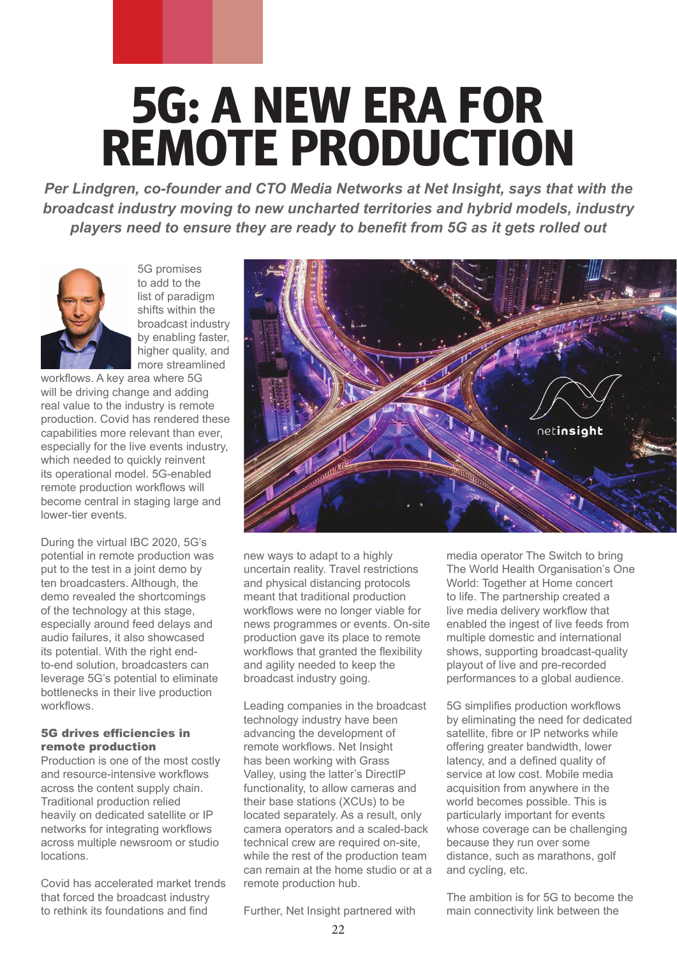# **5G: A NEW ERA FOR REMOTE PRODUCTION**

**Per Lindgren, co-founder and CTO Media Networks at Net Insight, says that with the** *broadcast industry moving to new uncharted territories and hybrid models, industry*  players need to ensure they are ready to benefit from 5G as it gets rolled out



5G promises to add to the list of paradigm shifts within the broadcast industry by enabling faster, higher quality, and more streamlined

workflows. A key area where 5G will be driving change and adding real value to the industry is remote production. Covid has rendered these capabilities more relevant than ever, especially for the live events industry, which needed to quickly reinvent its operational model. 5G-enabled remote production workflows will become central in staging large and lower-tier events.

During the virtual IBC 2020, 5G's potential in remote production was put to the test in a joint demo by ten broadcasters. Although, the demo revealed the shortcomings of the technology at this stage, especially around feed delays and audio failures, it also showcased its potential. With the right endto-end solution, broadcasters can leverage 5G's potential to eliminate bottlenecks in their live production workflows

## 5G drives efficiencies in remote production

Production is one of the most costly and resource-intensive workflows across the content supply chain. Traditional production relied heavily on dedicated satellite or IP networks for integrating workflows across multiple newsroom or studio locations.

Covid has accelerated market trends that forced the broadcast industry to rethink its foundations and find



new ways to adapt to a highly uncertain reality. Travel restrictions and physical distancing protocols meant that traditional production workflows were no longer viable for news programmes or events. On-site production gave its place to remote workflows that granted the flexibility and agility needed to keep the broadcast industry going.

Leading companies in the broadcast technology industry have been advancing the development of remote workflows. Net Insight has been working with Grass Valley, using the latter's DirectIP functionality, to allow cameras and their base stations (XCUs) to be located separately. As a result, only camera operators and a scaled-back technical crew are required on-site, while the rest of the production team can remain at the home studio or at a remote production hub.

Further, Net Insight partnered with

media operator The Switch to bring The World Health Organisation's One World: Together at Home concert to life. The partnership created a live media delivery workflow that enabled the ingest of live feeds from multiple domestic and international shows, supporting broadcast-quality playout of live and pre-recorded performances to a global audience.

5G simplifies production workflows by eliminating the need for dedicated satellite, fibre or IP networks while offering greater bandwidth, lower latency, and a defined quality of service at low cost. Mobile media acquisition from anywhere in the world becomes possible. This is particularly important for events whose coverage can be challenging because they run over some distance, such as marathons, golf and cycling, etc.

The ambition is for 5G to become the main connectivity link between the